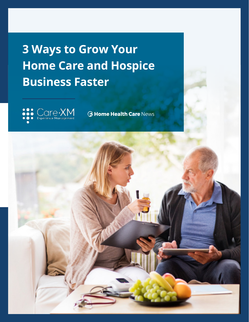# **3 Ways to Grow Your Home Care and Hospice Business Faster**



**6 Home Health Care News** 

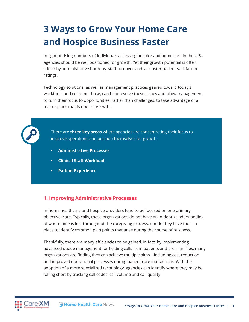## **3 Ways to Grow Your Home Care and Hospice Business Faster**

In light of rising numbers of individuals accessing hospice and home care in the U.S., agencies should be well positioned for growth. Yet their growth potential is often stifled by administrative burdens, staff turnover and lackluster patient satisfaction ratings.

Technology solutions, as well as management practices geared toward today's workforce and customer base, can help resolve these issues and allow management to turn their focus to opportunities, rather than challenges, to take advantage of a marketplace that is ripe for growth.



There are **three key areas** where agencies are concentrating their focus to improve operations and position themselves for growth:

- **Administrative Processes**
- **Clinical Staff Workload**
- **Patient Experience**

### **1. Improving Administrative Processes**

In-home healthcare and hospice providers tend to be focused on one primary objective: care. Typically, these organizations do not have an in-depth understanding of where time is lost throughout the caregiving process, nor do they have tools in place to identify common pain points that arise during the course of business.

Thankfully, there are many efficiencies to be gained. In fact, by implementing advanced queue management for fielding calls from patients and their families, many organizations are finding they can achieve multiple aims—including cost reduction and improved operational processes during patient care interactions. With the adoption of a more specialized technology, agencies can identify where they may be falling short by tracking call codes, call volume and call quality.

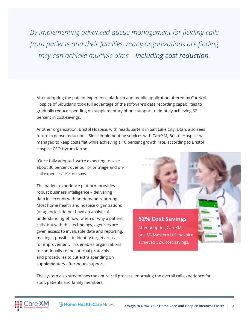*By implementing advanced queue management for fielding calls from patients and their families, many organizations are finding they can achieve multiple aims—including cost reduction.*

After adopting the patient experience platform and mobile application offered by CareXM, Hospice of Siouxland took full advantage of the software's data recording capabilities to gradually reduce spending on supplementary phone support, ultimately achieving 52 percent in cost-savings.

Another organization, Bristol Hospice, with headquarters in Salt Lake City, Utah, also sees future expense reductions. Since implementing services with CareXM, Bristol Hospice has managed to keep costs flat while achieving a 10 percent growth rate, according to Bristol Hospice CEO Hyrum Kirton.

"Once fully adopted, we're expecting to save about 30 percent over our prior triage and oncall expenses," Kirton says.

The patient experience platform provides robust business intelligence – delivering data in seconds with on-demand reporting. Most home health and hospice organizations (or agencies) do not have an analytical understanding of how, when or why a patient calls, but with this technology, agencies are given access to invaluable data and reporting, making it possible to identify target areas for improvement. This enables organizations to continually refine internal protocols and procedures to cut extra spending on supplementary after-hours support.



After adopting CareXM, one Midwestern U.S. hospice achieved 52% cost savings.

The system also streamlines the entire call process, improving the overall call experience for staff, patients and family members.

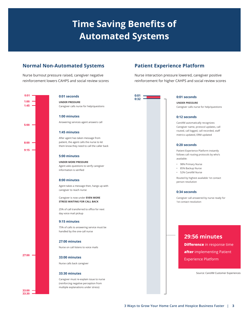## **Time Saving Benefits of Automated Systems**

## **Normal Non-Automated Systems**

Nurse burnout pressure raised, caregiver negative reinforcement lowers CAHPS and social review scores



#### **0:01 seconds**

**UNDER PRESSURE** Caregiver calls nurse for help/questions

#### **1:00 minutes**

Answering services agent answers call

#### **1:45 minutes**

After agent has taken message from patient, the agent calls the nurse to let them know they need to call the caller back

#### **5:00 minutes**

**UNDER MORE PRESSURE** Agent asks questions to verify caregiver information is verified

#### **8:00 minutes**

Agent takes a message then, hangs up with caregiver to reach nurse

Caregiver is now under **EVEN MORE STRESS WAITING FOR CALL BACK**

25% of call transferred to office for next day voice mail pickup

#### **9:15 minutes**

75% of calls to answering service must be handled by the one-call nurse

#### **27:00 minutes**

Nurse on call listens to voice mails

#### **33:00 minutes**

Nurse calls back caregiver

#### **33:30 minutes**

Caregiver must re-explain issue to nurse (reinforcing negative perception from multiple explanations under stress)

### **Patient Experience Platform**

Nurse interaction pressure lowered, caregiver positive reinforcement for higher CAHPS and social review scores



#### **0:01 seconds**

**UNDER PRESSURE** Caregiver calls nurse for help/questions

#### **0:12 seconds**

CareXM automatically recognizes: Caregiver name, protocol updates, call routed, call logged, call recorded, staff metrics updated, ERM updated

#### **0:20 seconds**

Patient Experience Platform instantly follows call routing protocols by who's available:

- 98% Primary Nurse
- 85% Backup Nurse
- 52% CareXM Nurse

Routed by highest available 1st contact person resolution

#### **0:34 seconds**

Caregiver call answered by nurse ready for 1st contact resolution

### **29:56 minutes**

 **Difference** in response time **after** implementing Patient Experience Platform

Source: CareXM Customer Experiences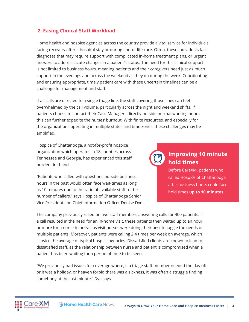## **2. Easing Clinical Staff Workload**

Home health and hospice agencies across the country provide a vital service for individuals facing recovery after a hospital stay or during end-of-life care. Often, these individuals face diagnoses that may require support with complicated in-home treatment plans, or urgent answers to address acute changes in a patient's status. The need for this clinical support is not limited to business hours, meaning patients and their caregivers need just as much support in the evenings and across the weekend as they do during the week. Coordinating and ensuring appropriate, timely patient care with these uncertain timelines can be a challenge for management and staff.

If all calls are directed to a single triage line, the staff covering those lines can feel overwhelmed by the call volume, particularly across the night and weekend shifts. If patients choose to contact their Case Managers directly outside normal working hours, this can further expedite the nurses' burnout. With finite resources, and especially for the organizations operating in multiple states and time zones, these challenges may be amplified.

Hospice of Chattanooga, a not-for-profit hospice organization which operates in 18 counties across Tennessee and Georgia, has experienced this staff burden firsthand.

"Patients who called with questions outside business hours in the past would often face wait-times as long as 10 minutes due to the ratio of available staff to the number of callers," says Hospice of Chattanooga Senior Vice President and Chief Information Officer Denise Dye.

## **Improving 10 minute hold times**

Before CareXM, patients who called Hospice of Chattanooga after business hours could face hold times **up to 10 minutes**.

The company previously relied on two staff members answering calls for 400 patients. If a call resulted in the need for an in-home visit, these patients then waited up to an hour or more for a nurse to arrive, as visit nurses were doing their best to juggle the needs of multiple patients. Moreover, patients were calling 2.4 times per week on average, which is twice the average of typical hospice agencies. Dissatisfied clients are known to lead to dissatisfied staff, as the relationship between nurse and patient is compromised when a patient has been waiting for a period of time to be seen.

"We previously had issues for coverage where, if a triage staff member needed the day off, or it was a holiday, or heaven forbid there was a sickness, it was often a struggle finding somebody at the last minute," Dye says.

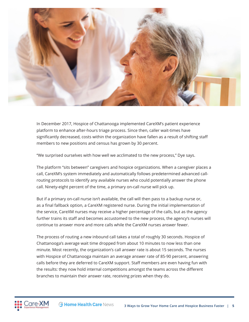

In December 2017, Hospice of Chattanooga implemented CareXM's patient experience platform to enhance after-hours triage process. Since then, caller wait-times have significantly decreased, costs within the organization have fallen as a result of shifting staff members to new positions and census has grown by 30 percent.

"We surprised ourselves with how well we acclimated to the new process," Dye says.

The platform "sits between" caregivers and hospice organizations. When a caregiver places a call, CareXM's system immediately and automatically follows predetermined advanced callrouting protocols to identify any available nurses who could potentially answer the phone call. Ninety-eight percent of the time, a primary on-call nurse will pick up.

But if a primary on-call nurse isn't available, the call will then pass to a backup nurse or, as a final fallback option, a CareXM registered nurse. During the initial implementation of the service, CareXM nurses may receive a higher percentage of the calls, but as the agency further trains its staff and becomes accustomed to the new process, the agency's nurses will continue to answer more and more calls while the CareXM nurses answer fewer.

The process of routing a new inbound call takes a total of roughly 30 seconds. Hospice of Chattanooga's average wait time dropped from about 10 minutes to now less than one minute. Most recently, the organization's call answer rate is about 15 seconds. The nurses with Hospice of Chattanooga maintain an average answer rate of 85-90 percent, answering calls before they are deferred to CareXM support. Staff members are even having fun with the results: they now hold internal competitions amongst the teams across the different branches to maintain their answer rate, receiving prizes when they do.

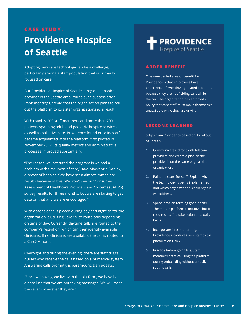## **CASE STUDY: Providence Hospice of Seattle**

Adopting new care technology can be a challenge, particularly among a staff population that is primarily focused on care.

But Providence Hospice of Seattle, a regional hospice provider in the Seattle area, found such success after implementing CareXM that the organization plans to roll out the platform to its sister organizations as a result.

With roughly 200 staff members and more than 700 patients spanning adult and pediatric hospice services, as well as palliative care, Providence found once its staff became acquainted with the platform, first piloted in November 2017, its quality metrics and administrative processes improved substantially.

"The reason we instituted the program is we had a problem with timeliness of care," says Mackenzie Daniek, director of hospice. "We have seen almost immediate results because of this. We won't see our Consumer Assessment of Healthcare Providers and Systems (CAHPS) survey results for three months, but we are starting to get data on that and we are encouraged."

With dozens of calls placed during day and night shifts, the organization is utilizing CareXM to route calls depending on time of day. Currently, daytime calls are routed to the company's reception, which can then identify available clinicians. If no clinicians are available, the call is routed to a CareXM nurse.

Overnight and during the evening, there are staff triage nurses who receive the calls based on a numerical system. Answering calls promptly is paramount, Daniek says.

"Since we have gone live with the platform, we have had a hard line that we are not taking messages. We will meet the callers wherever they are."

## **PROVIDENCE** Hospice of Seattle

#### **ADDED BENEFIT**

One unexpected area of benefit for Providence is that employees have experienced fewer driving-related accidents because they are not fielding calls while in the car. The organization has enforced a policy that care staff must make themselves unavailable while they are driving.

#### **LESSONS LEARNED**

5 Tips from Providence based on its rollout of CareXM

- **1.** Communicate upfront with telecom providers and create a plan so the provider is on the same page as the organization.
- **2.** Paint a picture for staff. Explain why the technology is being implemented and which organizational challenges it will address.
- **3.** Spend time on forming good habits. The mobile platform is intuitive, but it requires staff to take action on a daily basis.
- **4.** Incorporate into onboarding. Providence introduces new staff to the platform on Day 2.
- **5.** Practice before going live. Staff members practice using the platform during onboarding without actually routing calls.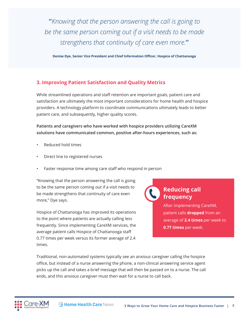**"***Knowing that the person answering the call is going to be the same person coming out if a visit needs to be made strengthens that continuity of care even more.***"**

**Denise Dye, Senior Vice President and Chief Information Officer, Hospice of Chattanooga**

## **3. Improving Patient Satisfaction and Quality Metrics**

While streamlined operations and staff retention are important goals, patient care and satisfaction are ultimately the most important considerations for home health and hospice providers. A technology platform to coordinate communications ultimately leads to better patient care, and subsequently, higher quality scores.

**Patients and caregivers who have worked with hospice providers utilizing CareXM solutions have communicated common, positive after-hours experiences, such as:**

- Reduced hold times
- Direct line to registered nurses
- Faster response time among care staff who respond in person

"Knowing that the person answering the call is going to be the same person coming out if a visit needs to be made strengthens that continuity of care even more," Dye says.

Hospice of Chattanooga has improved its operations to the point where patients are actually calling less frequently. Since implementing CareXM services, the average patient calls Hospice of Chattanooga staff 0.77 times per week versus its former average of 2.4 times.

## **Reducing call frequency**

After implementing CareXM, patient calls **dropped** from an average of **2.4 times** per week to **0.77 times** per week.

Traditional, non-automated systems typically see an anxious caregiver calling the hospice office, but instead of a nurse answering the phone, a non-clinical answering service agent picks up the call and takes a brief message that will then be passed on to a nurse. The call ends, and this anxious caregiver must then wait for a nurse to call back.

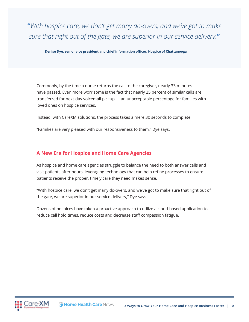**"***With hospice care, we don't get many do-overs, and we've got to make sure that right out of the gate, we are superior in our service delivery.***"**

**Denise Dye, senior vice president and chief information officer, Hospice of Chattanooga**

Commonly, by the time a nurse returns the call to the caregiver, nearly 33 minutes have passed. Even more worrisome is the fact that nearly 25 percent of similar calls are transferred for next-day voicemail pickup — an unacceptable percentage for families with loved ones on hospice services.

Instead, with CareXM solutions, the process takes a mere 30 seconds to complete.

"Families are very pleased with our responsiveness to them," Dye says.

### **A New Era for Hospice and Home Care Agencies**

As hospice and home care agencies struggle to balance the need to both answer calls and visit patients after hours, leveraging technology that can help refine processes to ensure patients receive the proper, timely care they need makes sense.

"With hospice care, we don't get many do-overs, and we've got to make sure that right out of the gate, we are superior in our service delivery," Dye says.

Dozens of hospices have taken a proactive approach to utilize a cloud-based application to reduce call hold times, reduce costs and decrease staff compassion fatigue.